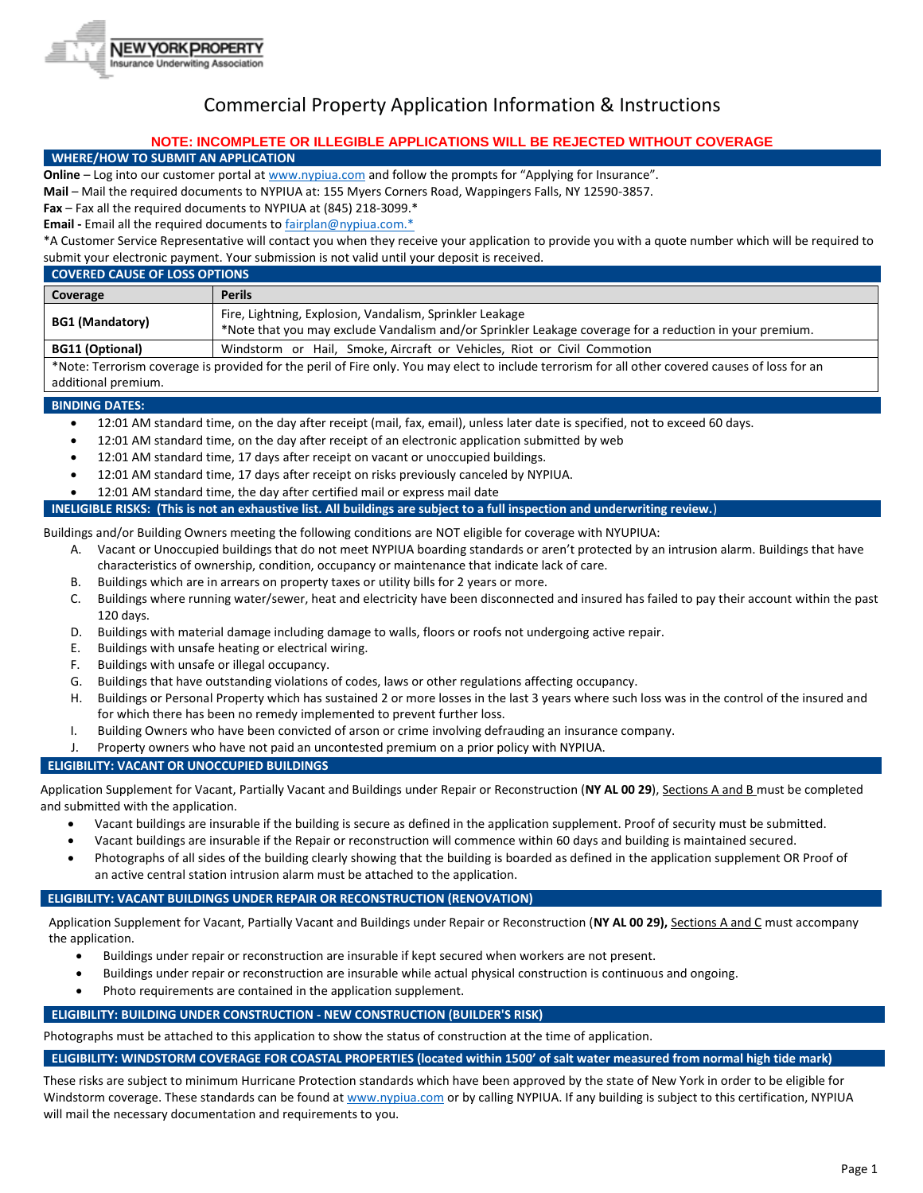

# Commercial Property Application Information & Instructions

# **NOTE: INCOMPLETE OR ILLEGIBLE APPLICATIONS WILL BE REJECTED WITHOUT COVERAGE**

## **WHERE/HOW TO SUBMIT AN APPLICATION**

**Online** – Log into our customer portal a[t www.nypiua.com](http://www.nypiua.com/) and follow the prompts for "Applying for Insurance".

**Mail** – Mail the required documents to NYPIUA at: 155 Myers Corners Road, Wappingers Falls, NY 12590-3857.

**Fax** – Fax all the required documents to NYPIUA at (845) 218-3099.\*

**Email -** Email all the required documents t[o fairplan@nypiua.com.\\*](mailto:fairplan@nypiua.com.*)

\*A Customer Service Representative will contact you when they receive your application to provide you with a quote number which will be required to submit your electronic payment. Your submission is not valid until your deposit is received.

| <b>COVERED CAUSE OF LOSS OPTIONS</b>                                                                                                            |                                                                                                                                                                     |  |
|-------------------------------------------------------------------------------------------------------------------------------------------------|---------------------------------------------------------------------------------------------------------------------------------------------------------------------|--|
| Coverage                                                                                                                                        | <b>Perils</b>                                                                                                                                                       |  |
| <b>BG1 (Mandatory)</b>                                                                                                                          | Fire, Lightning, Explosion, Vandalism, Sprinkler Leakage<br>*Note that you may exclude Vandalism and/or Sprinkler Leakage coverage for a reduction in your premium. |  |
| <b>BG11 (Optional)</b>                                                                                                                          | Windstorm or Hail, Smoke, Aircraft or Vehicles, Riot or Civil Commotion                                                                                             |  |
| *Note: Terrorism coverage is provided for the peril of Fire only You may elect to include terrorism for all other covered causes of loss for an |                                                                                                                                                                     |  |

Note: Terrorism coverage is provided for the peril of Fire only. You may elect to include terrorism for all other covered causes of loss for an additional premium.

# **BINDING DATES:**

- 12:01 AM standard time, on the day after receipt (mail, fax, email), unless later date is specified, not to exceed 60 days.
- 12:01 AM standard time, on the day after receipt of an electronic application submitted by web
- 12:01 AM standard time, 17 days after receipt on vacant or unoccupied buildings.
- 12:01 AM standard time, 17 days after receipt on risks previously canceled by NYPIUA.
- 12:01 AM standard time, the day after certified mail or express mail date

**INELIGIBLE RISKS: (This is not an exhaustive list. All buildings are subject to a full inspection and underwriting review.**)

Buildings and/or Building Owners meeting the following conditions are NOT eligible for coverage with NYUPIUA:

- A. Vacant or Unoccupied buildings that do not meet NYPIUA boarding standards or aren't protected by an intrusion alarm. Buildings that have characteristics of ownership, condition, occupancy or maintenance that indicate lack of care.
- B. Buildings which are in arrears on property taxes or utility bills for 2 years or more.
- C. Buildings where running water/sewer, heat and electricity have been disconnected and insured has failed to pay their account within the past 120 days.
- D. Buildings with material damage including damage to walls, floors or roofs not undergoing active repair.
- E. Buildings with unsafe heating or electrical wiring.
- F. Buildings with unsafe or illegal occupancy.
- G. Buildings that have outstanding violations of codes, laws or other regulations affecting occupancy.
- H. Buildings or Personal Property which has sustained 2 or more losses in the last 3 years where such loss was in the control of the insured and for which there has been no remedy implemented to prevent further loss.
- I. Building Owners who have been convicted of arson or crime involving defrauding an insurance company.
- J. Property owners who have not paid an uncontested premium on a prior policy with NYPIUA.

# **ELIGIBILITY: VACANT OR UNOCCUPIED BUILDINGS**

Application Supplement for Vacant, Partially Vacant and Buildings under Repair or Reconstruction (**NY AL 00 29**), Sections A and B must be completed and submitted with the application.

- Vacant buildings are insurable if the building is secure as defined in the application supplement. Proof of security must be submitted.
- Vacant buildings are insurable if the Repair or reconstruction will commence within 60 days and building is maintained secured.
- Photographs of all sides of the building clearly showing that the building is boarded as defined in the application supplement OR Proof of an active central station intrusion alarm must be attached to the application.

# **ELIGIBILITY: VACANT BUILDINGS UNDER REPAIR OR RECONSTRUCTION (RENOVATION)**

Application Supplement for Vacant, Partially Vacant and Buildings under Repair or Reconstruction (**NY AL 00 29),** Sections A and C must accompany the application.

- Buildings under repair or reconstruction are insurable if kept secured when workers are not present.
- Buildings under repair or reconstruction are insurable while actual physical construction is continuous and ongoing.
- Photo requirements are contained in the application supplement.

# **ELIGIBILITY: BUILDING UNDER CONSTRUCTION - NEW CONSTRUCTION (BUILDER'S RISK)**

Photographs must be attached to this application to show the status of construction at the time of application.

## **ELIGIBILITY: WINDSTORM COVERAGE FOR COASTAL PROPERTIES (located within 1500' of salt water measured from normal high tide mark)**

These risks are subject to minimum Hurricane Protection standards which have been approved by the state of New York in order to be eligible for Windstorm coverage. These standards can be found a[t www.nypiua.com](http://www.nypiua.com/) or by calling NYPIUA. If any building is subject to this certification, NYPIUA will mail the necessary documentation and requirements to you.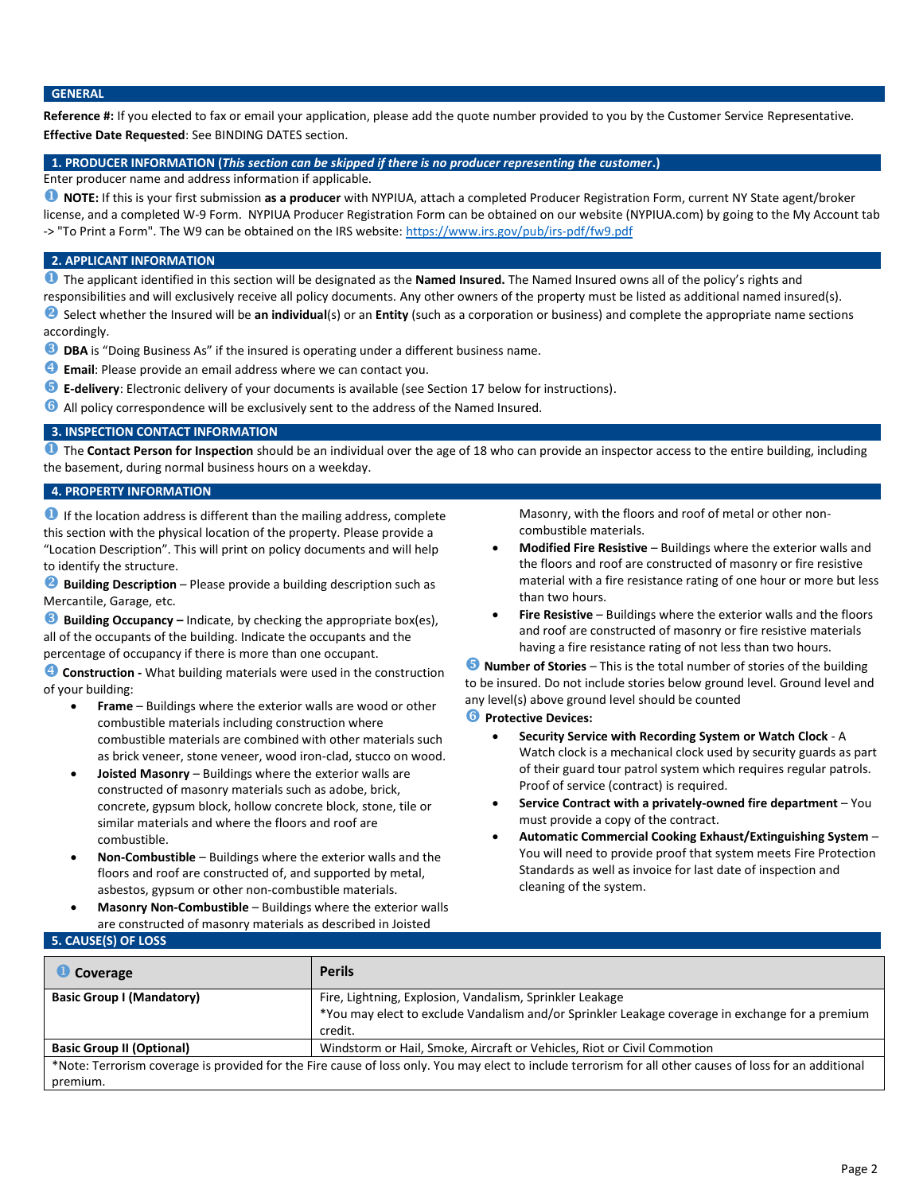## **GENERAL**

**Reference #:** If you elected to fax or email your application, please add the quote number provided to you by the Customer Service Representative. **Effective Date Requested**: See BINDING DATES section.

#### **1. PRODUCER INFORMATION (***This section can be skipped if there is no producer representing the customer***.)**

Enter producer name and address information if applicable.

 **NOTE:** If this is your first submission **as a producer** with NYPIUA, attach a completed Producer Registration Form, current NY State agent/broker license, and a completed W-9 Form. NYPIUA Producer Registration Form can be obtained on our website (NYPIUA.com) by going to the My Account tab -> "To Print a Form". The W9 can be obtained on the IRS website[: https://www.irs.gov/pub/irs-pdf/fw9.pdf](https://www.irs.gov/pub/irs-pdf/fw9.pdf)

#### **2. APPLICANT INFORMATION**

The applicant identified in this section will be designated as the **Named Insured.** The Named Insured owns all of the policy's rights and

responsibilities and will exclusively receive all policy documents. Any other owners of the property must be listed as additional named insured(s).

**2** Select whether the Insured will be an individual(s) or an Entity (such as a corporation or business) and complete the appropriate name sections accordingly.

- **DBA** is "Doing Business As" if the insured is operating under a different business name.
- **Email**: Please provide an email address where we can contact you.
- **E-delivery**: Electronic delivery of your documents is available (see Section 17 below for instructions).
- All policy correspondence will be exclusively sent to the address of the Named Insured.

## **3. INSPECTION CONTACT INFORMATION**

**O** The Contact Person for Inspection should be an individual over the age of 18 who can provide an inspector access to the entire building, including the basement, during normal business hours on a weekday.

## **4. PROPERTY INFORMATION**

**If the location address is different than the mailing address, complete** this section with the physical location of the property. Please provide a "Location Description". This will print on policy documents and will help to identify the structure.

**2** Building Description – Please provide a building description such as Mercantile, Garage, etc.

**Building Occupancy –** Indicate, by checking the appropriate box(es), all of the occupants of the building. Indicate the occupants and the percentage of occupancy if there is more than one occupant.

**Construction -** What building materials were used in the construction of your building:

- **Frame** Buildings where the exterior walls are wood or other combustible materials including construction where combustible materials are combined with other materials such as brick veneer, stone veneer, wood iron-clad, stucco on wood.
- **Joisted Masonry** Buildings where the exterior walls are constructed of masonry materials such as adobe, brick, concrete, gypsum block, hollow concrete block, stone, tile or similar materials and where the floors and roof are combustible.
- **Non-Combustible** Buildings where the exterior walls and the floors and roof are constructed of, and supported by metal, asbestos, gypsum or other non-combustible materials.
- **Masonry Non-Combustible** Buildings where the exterior walls are constructed of masonry materials as described in Joisted

Masonry, with the floors and roof of metal or other noncombustible materials.

- **Modified Fire Resistive** Buildings where the exterior walls and the floors and roof are constructed of masonry or fire resistive material with a fire resistance rating of one hour or more but less than two hours.
- **Fire Resistive** Buildings where the exterior walls and the floors and roof are constructed of masonry or fire resistive materials having a fire resistance rating of not less than two hours.

**D** Number of Stories – This is the total number of stories of the building to be insured. Do not include stories below ground level. Ground level and any level(s) above ground level should be counted

# *<u>O</del>* Protective Devices:</u>

- **Security Service with Recording System or Watch Clock** A Watch clock is a mechanical clock used by security guards as part of their guard tour patrol system which requires regular patrols. Proof of service (contract) is required.
- **Service Contract with a privately-owned fire department** You must provide a copy of the contract.
- **Automatic Commercial Cooking Exhaust/Extinguishing System** You will need to provide proof that system meets Fire Protection Standards as well as invoice for last date of inspection and cleaning of the system.

# **5. CAUSE(S) OF LOSS**

| Coverage                                                                                                                                                 | <b>Perils</b>                                                                                   |  |  |
|----------------------------------------------------------------------------------------------------------------------------------------------------------|-------------------------------------------------------------------------------------------------|--|--|
| <b>Basic Group I (Mandatory)</b>                                                                                                                         | Fire, Lightning, Explosion, Vandalism, Sprinkler Leakage                                        |  |  |
|                                                                                                                                                          | *You may elect to exclude Vandalism and/or Sprinkler Leakage coverage in exchange for a premium |  |  |
|                                                                                                                                                          | credit.                                                                                         |  |  |
| <b>Basic Group II (Optional)</b>                                                                                                                         | Windstorm or Hail, Smoke, Aircraft or Vehicles, Riot or Civil Commotion                         |  |  |
| *Note: Terrorism coverage is provided for the Fire cause of loss only. You may elect to include terrorism for all other causes of loss for an additional |                                                                                                 |  |  |
| premium.                                                                                                                                                 |                                                                                                 |  |  |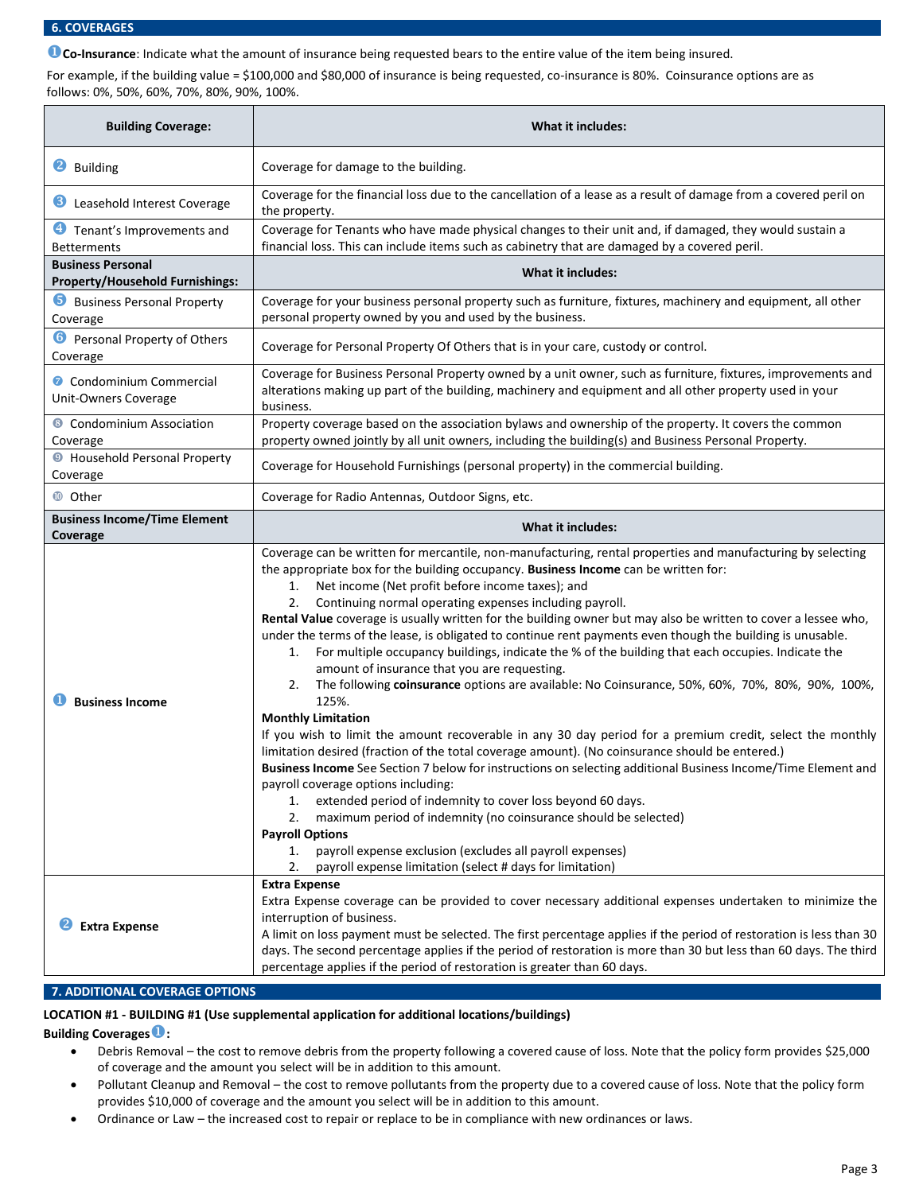#### **6. COVERAGES**

**Co-Insurance**: Indicate what the amount of insurance being requested bears to the entire value of the item being insured.

For example, if the building value = \$100,000 and \$80,000 of insurance is being requested, co-insurance is 80%. Coinsurance options are as follows: 0%, 50%, 60%, 70%, 80%, 90%, 100%.

| <b>Building Coverage:</b>                                          | <b>What it includes:</b>                                                                                                                                                                                                                                                                                                                                                                                                                                                                                                                                                                                                                                                                                                                                                                                                                                                                                                                                                                                                                                                                                                                                                                                                                                                                                                                                                                                                                                                                                                                                     |
|--------------------------------------------------------------------|--------------------------------------------------------------------------------------------------------------------------------------------------------------------------------------------------------------------------------------------------------------------------------------------------------------------------------------------------------------------------------------------------------------------------------------------------------------------------------------------------------------------------------------------------------------------------------------------------------------------------------------------------------------------------------------------------------------------------------------------------------------------------------------------------------------------------------------------------------------------------------------------------------------------------------------------------------------------------------------------------------------------------------------------------------------------------------------------------------------------------------------------------------------------------------------------------------------------------------------------------------------------------------------------------------------------------------------------------------------------------------------------------------------------------------------------------------------------------------------------------------------------------------------------------------------|
| 2<br><b>Building</b>                                               | Coverage for damage to the building.                                                                                                                                                                                                                                                                                                                                                                                                                                                                                                                                                                                                                                                                                                                                                                                                                                                                                                                                                                                                                                                                                                                                                                                                                                                                                                                                                                                                                                                                                                                         |
| Leasehold Interest Coverage                                        | Coverage for the financial loss due to the cancellation of a lease as a result of damage from a covered peril on<br>the property.                                                                                                                                                                                                                                                                                                                                                                                                                                                                                                                                                                                                                                                                                                                                                                                                                                                                                                                                                                                                                                                                                                                                                                                                                                                                                                                                                                                                                            |
| <b>4</b> Tenant's Improvements and<br><b>Betterments</b>           | Coverage for Tenants who have made physical changes to their unit and, if damaged, they would sustain a<br>financial loss. This can include items such as cabinetry that are damaged by a covered peril.                                                                                                                                                                                                                                                                                                                                                                                                                                                                                                                                                                                                                                                                                                                                                                                                                                                                                                                                                                                                                                                                                                                                                                                                                                                                                                                                                     |
| <b>Business Personal</b><br><b>Property/Household Furnishings:</b> | <b>What it includes:</b>                                                                                                                                                                                                                                                                                                                                                                                                                                                                                                                                                                                                                                                                                                                                                                                                                                                                                                                                                                                                                                                                                                                                                                                                                                                                                                                                                                                                                                                                                                                                     |
| <b>b</b> Business Personal Property<br>Coverage                    | Coverage for your business personal property such as furniture, fixtures, machinery and equipment, all other<br>personal property owned by you and used by the business.                                                                                                                                                                                                                                                                                                                                                                                                                                                                                                                                                                                                                                                                                                                                                                                                                                                                                                                                                                                                                                                                                                                                                                                                                                                                                                                                                                                     |
| <b>6</b> Personal Property of Others<br>Coverage                   | Coverage for Personal Property Of Others that is in your care, custody or control.                                                                                                                                                                                                                                                                                                                                                                                                                                                                                                                                                                                                                                                                                                                                                                                                                                                                                                                                                                                                                                                                                                                                                                                                                                                                                                                                                                                                                                                                           |
| Condominium Commercial<br>Unit-Owners Coverage                     | Coverage for Business Personal Property owned by a unit owner, such as furniture, fixtures, improvements and<br>alterations making up part of the building, machinery and equipment and all other property used in your<br>business.                                                                                                                                                                                                                                                                                                                                                                                                                                                                                                                                                                                                                                                                                                                                                                                                                                                                                                                                                                                                                                                                                                                                                                                                                                                                                                                         |
| <b>8</b> Condominium Association<br>Coverage                       | Property coverage based on the association bylaws and ownership of the property. It covers the common<br>property owned jointly by all unit owners, including the building(s) and Business Personal Property.                                                                                                                                                                                                                                                                                                                                                                                                                                                                                                                                                                                                                                                                                                                                                                                                                                                                                                                                                                                                                                                                                                                                                                                                                                                                                                                                                |
| <b>O</b> Household Personal Property<br>Coverage                   | Coverage for Household Furnishings (personal property) in the commercial building.                                                                                                                                                                                                                                                                                                                                                                                                                                                                                                                                                                                                                                                                                                                                                                                                                                                                                                                                                                                                                                                                                                                                                                                                                                                                                                                                                                                                                                                                           |
| <b>1</b> Other                                                     | Coverage for Radio Antennas, Outdoor Signs, etc.                                                                                                                                                                                                                                                                                                                                                                                                                                                                                                                                                                                                                                                                                                                                                                                                                                                                                                                                                                                                                                                                                                                                                                                                                                                                                                                                                                                                                                                                                                             |
| <b>Business Income/Time Element</b><br>Coverage                    | What it includes:                                                                                                                                                                                                                                                                                                                                                                                                                                                                                                                                                                                                                                                                                                                                                                                                                                                                                                                                                                                                                                                                                                                                                                                                                                                                                                                                                                                                                                                                                                                                            |
| <b>Business Income</b>                                             | Coverage can be written for mercantile, non-manufacturing, rental properties and manufacturing by selecting<br>the appropriate box for the building occupancy. Business Income can be written for:<br>Net income (Net profit before income taxes); and<br>1.<br>Continuing normal operating expenses including payroll.<br>2.<br>Rental Value coverage is usually written for the building owner but may also be written to cover a lessee who,<br>under the terms of the lease, is obligated to continue rent payments even though the building is unusable.<br>For multiple occupancy buildings, indicate the % of the building that each occupies. Indicate the<br>1.<br>amount of insurance that you are requesting.<br>The following coinsurance options are available: No Coinsurance, 50%, 60%, 70%, 80%, 90%, 100%,<br>2.<br>125%.<br><b>Monthly Limitation</b><br>If you wish to limit the amount recoverable in any 30 day period for a premium credit, select the monthly<br>limitation desired (fraction of the total coverage amount). (No coinsurance should be entered.)<br>Business Income See Section 7 below for instructions on selecting additional Business Income/Time Element and<br>payroll coverage options including:<br>extended period of indemnity to cover loss beyond 60 days.<br>1.<br>2.<br>maximum period of indemnity (no coinsurance should be selected)<br><b>Payroll Options</b><br>payroll expense exclusion (excludes all payroll expenses)<br>1.<br>2.<br>payroll expense limitation (select # days for limitation) |
| <b>Extra Expense</b>                                               | <b>Extra Expense</b><br>Extra Expense coverage can be provided to cover necessary additional expenses undertaken to minimize the<br>interruption of business.<br>A limit on loss payment must be selected. The first percentage applies if the period of restoration is less than 30<br>days. The second percentage applies if the period of restoration is more than 30 but less than 60 days. The third<br>percentage applies if the period of restoration is greater than 60 days.                                                                                                                                                                                                                                                                                                                                                                                                                                                                                                                                                                                                                                                                                                                                                                                                                                                                                                                                                                                                                                                                        |

## **7. ADDITIONAL COVERAGE OPTIONS**

# **LOCATION #1 - BUILDING #1 (Use supplemental application for additional locations/buildings)**

**Building Coverages:** 

- Debris Removal the cost to remove debris from the property following a covered cause of loss. Note that the policy form provides \$25,000 of coverage and the amount you select will be in addition to this amount.
- Pollutant Cleanup and Removal the cost to remove pollutants from the property due to a covered cause of loss. Note that the policy form provides \$10,000 of coverage and the amount you select will be in addition to this amount.
- Ordinance or Law the increased cost to repair or replace to be in compliance with new ordinances or laws.